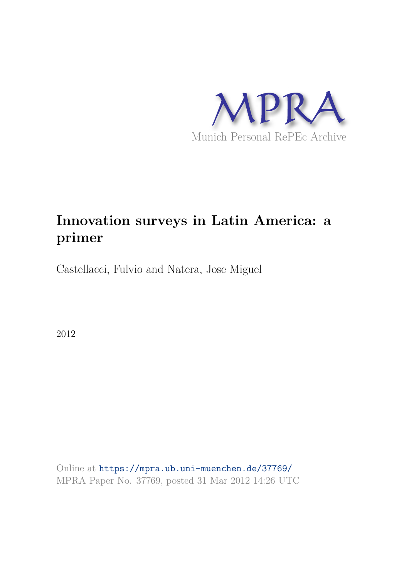

# **Innovation surveys in Latin America: a primer**

Castellacci, Fulvio and Natera, Jose Miguel

2012

Online at https://mpra.ub.uni-muenchen.de/37769/ MPRA Paper No. 37769, posted 31 Mar 2012 14:26 UTC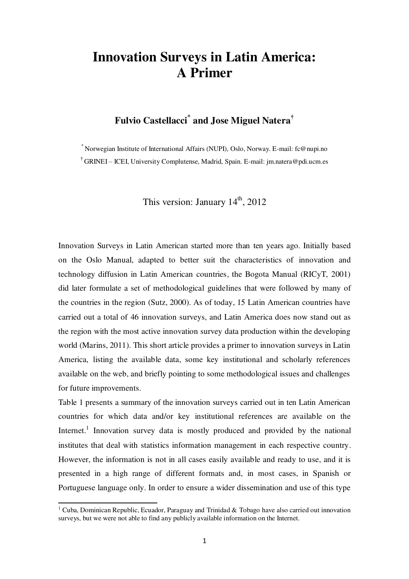## **Innovation Surveys in Latin America: A Primer**

## **Fulvio Castellacci\* and Jose Miguel Natera†**

\* Norwegian Institute of International Affairs (NUPI), Oslo, Norway. E-mail: fc@nupi.no

† GRINEI – ICEI, University Complutense, Madrid, Spain. E-mail: jm.natera@pdi.ucm.es

This version: January  $14<sup>th</sup>$ , 2012

Innovation Surveys in Latin American started more than ten years ago. Initially based on the Oslo Manual, adapted to better suit the characteristics of innovation and technology diffusion in Latin American countries, the Bogota Manual (RICyT, 2001) did later formulate a set of methodological guidelines that were followed by many of the countries in the region (Sutz, 2000). As of today, 15 Latin American countries have carried out a total of 46 innovation surveys, and Latin America does now stand out as the region with the most active innovation survey data production within the developing world (Marins, 2011). This short article provides a primer to innovation surveys in Latin America, listing the available data, some key institutional and scholarly references available on the web, and briefly pointing to some methodological issues and challenges for future improvements.

Table 1 presents a summary of the innovation surveys carried out in ten Latin American countries for which data and/or key institutional references are available on the Internet.<sup>1</sup> Innovation survey data is mostly produced and provided by the national institutes that deal with statistics information management in each respective country. However, the information is not in all cases easily available and ready to use, and it is presented in a high range of different formats and, in most cases, in Spanish or Portuguese language only. In order to ensure a wider dissemination and use of this type

.

<sup>&</sup>lt;sup>1</sup> Cuba, Dominican Republic, Ecuador, Paraguay and Trinidad & Tobago have also carried out innovation surveys, but we were not able to find any publicly available information on the Internet.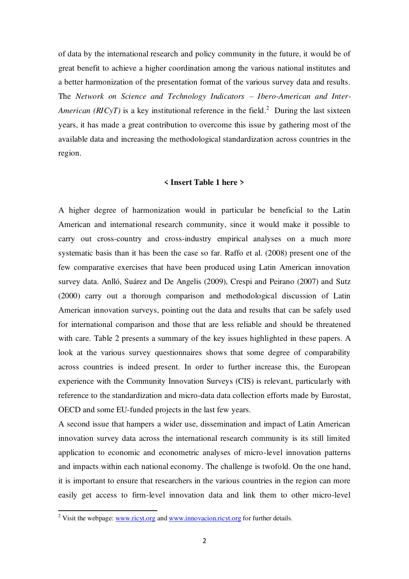of data by the international research and policy community in the future, it would be of great benefit to achieve a higher coordination among the various national institutes and a better harmonization of the presentation format of the various survey data and results. The *Network on Science and Technology Indicators – Ibero-American and Inter-American (RICyT)* is a key institutional reference in the field.<sup>2</sup> During the last sixteen years, it has made a great contribution to overcome this issue by gathering most of the available data and increasing the methodological standardization across countries in the region.

#### **< Insert Table 1 here >**

A higher degree of harmonization would in particular be beneficial to the Latin American and international research community, since it would make it possible to carry out cross-country and cross-industry empirical analyses on a much more systematic basis than it has been the case so far. Raffo et al. (2008) present one of the few comparative exercises that have been produced using Latin American innovation survey data. Anlló, Suárez and De Angelis (2009), Crespi and Peirano (2007) and Sutz (2000) carry out a thorough comparison and methodological discussion of Latin American innovation surveys, pointing out the data and results that can be safely used for international comparison and those that are less reliable and should be threatened with care. Table 2 presents a summary of the key issues highlighted in these papers. A look at the various survey questionnaires shows that some degree of comparability across countries is indeed present. In order to further increase this, the European experience with the Community Innovation Surveys (CIS) is relevant, particularly with reference to the standardization and micro-data data collection efforts made by Eurostat, OECD and some EU-funded projects in the last few years.

A second issue that hampers a wider use, dissemination and impact of Latin American innovation survey data across the international research community is its still limited application to economic and econometric analyses of micro-level innovation patterns and impacts within each national economy. The challenge is twofold. On the one hand, it is important to ensure that researchers in the various countries in the region can more easily get access to firm-level innovation data and link them to other micro-level

.

<sup>&</sup>lt;sup>2</sup> Visit the webpage:  $\frac{www.ricyt.org}{www.innovacion.ricyt.org}$  for further details.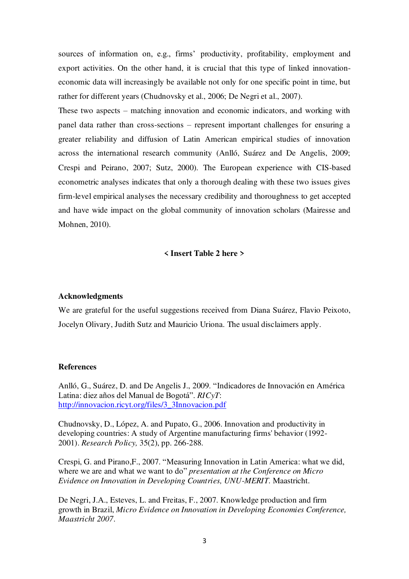sources of information on, e.g., firms' productivity, profitability, employment and export activities. On the other hand, it is crucial that this type of linked innovationeconomic data will increasingly be available not only for one specific point in time, but rather for different years (Chudnovsky et al., 2006; De Negri et al., 2007).

These two aspects – matching innovation and economic indicators, and working with panel data rather than cross-sections – represent important challenges for ensuring a greater reliability and diffusion of Latin American empirical studies of innovation across the international research community (Anlló, Suárez and De Angelis, 2009; Crespi and Peirano, 2007; Sutz, 2000). The European experience with CIS-based econometric analyses indicates that only a thorough dealing with these two issues gives firm-level empirical analyses the necessary credibility and thoroughness to get accepted and have wide impact on the global community of innovation scholars (Mairesse and Mohnen, 2010).

#### **< Insert Table 2 here >**

#### **Acknowledgments**

We are grateful for the useful suggestions received from Diana Suárez, Flavio Peixoto, Jocelyn Olivary, Judith Sutz and Mauricio Uriona. The usual disclaimers apply.

#### **References**

Anlló, G., Suárez, D. and De Angelis J., 2009. "Indicadores de Innovación en América Latina: diez años del Manual de Bogotá". *RICyT*: [http://innovacion.ricyt.org/files/3\\_3Innovacion.pdf](http://innovacion.ricyt.org/files/3_3Innovacion.pdf)

Chudnovsky, D., López, A. and Pupato, G., 2006. Innovation and productivity in developing countries: A study of Argentine manufacturing firms' behavior (1992- 2001). *Research Policy,* 35(2), pp. 266-288.

Crespi, G. and Pirano,F., 2007. "Measuring Innovation in Latin America: what we did, where we are and what we want to do" *presentation at the Conference on Micro Evidence on Innovation in Developing Countries, UNU-MERIT.* Maastricht.

De Negri, J.A., Esteves, L. and Freitas, F., 2007. Knowledge production and firm growth in Brazil, *Micro Evidence on Innovation in Developing Economies Conference, Maastricht 2007*.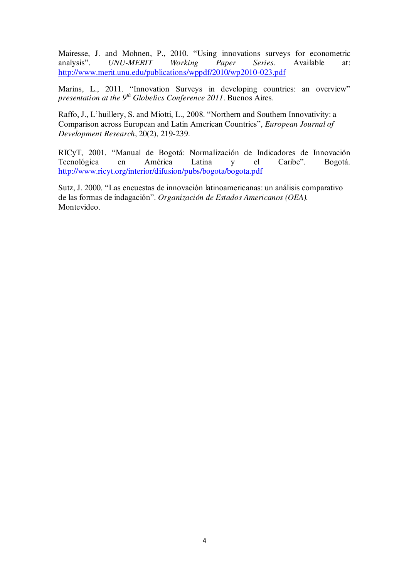Mairesse, J. and Mohnen, P., 2010. "Using innovations surveys for econometric analysis". *UNU-MERIT Working Paper Series*. Available at: <http://www.merit.unu.edu/publications/wppdf/2010/wp2010-023.pdf>

Marins, L., 2011. "Innovation Surveys in developing countries: an overview" *presentation at the 9th Globelics Conference 2011*. Buenos Aires.

Raffo, J., L'huillery, S. and Miotti, L., 2008. "Northern and Southern Innovativity: a Comparison across European and Latin American Countries", *European Journal of Development Research*, 20(2), 219-239.

RICyT, 2001. "Manual de Bogotá: Normalización de Indicadores de Innovación Tecnológica en América Latina y el Caribe". Bogotá. <http://www.ricyt.org/interior/difusion/pubs/bogota/bogota.pdf>

Sutz, J. 2000. "Las encuestas de innovación latinoamericanas: un análisis comparativo de las formas de indagación". *Organización de Estados Americanos (OEA).* Montevideo.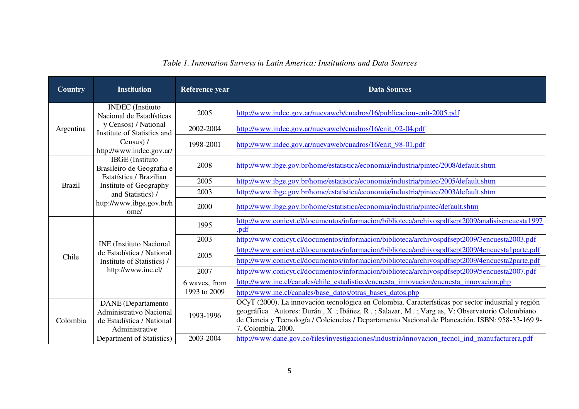### *Table 1. Innovation Surveys in Latin America: Institutions and Data Sources*

| <b>Country</b> | <b>Institution</b>                                                                                              | Reference year                | <b>Data Sources</b>                                                                                                                                                                                                                                                                                                           |
|----------------|-----------------------------------------------------------------------------------------------------------------|-------------------------------|-------------------------------------------------------------------------------------------------------------------------------------------------------------------------------------------------------------------------------------------------------------------------------------------------------------------------------|
| Argentina      | <b>INDEC</b> (Instituto<br>Nacional de Estadísticas                                                             | 2005                          | http://www.indec.gov.ar/nuevaweb/cuadros/16/publicacion-enit-2005.pdf                                                                                                                                                                                                                                                         |
|                | y Censos) / National<br>Institute of Statistics and<br>Census) /<br>http://www.indec.gov.ar/                    | 2002-2004                     | http://www.indec.gov.ar/nuevaweb/cuadros/16/enit_02-04.pdf                                                                                                                                                                                                                                                                    |
|                |                                                                                                                 | 1998-2001                     | http://www.indec.gov.ar/nuevaweb/cuadros/16/enit_98-01.pdf                                                                                                                                                                                                                                                                    |
| <b>Brazil</b>  | <b>IBGE</b> (Instituto<br>Brasileiro de Geografia e                                                             | 2008                          | http://www.ibge.gov.br/home/estatistica/economia/industria/pintec/2008/default.shtm                                                                                                                                                                                                                                           |
|                | Estatística / Brazilian<br>Institute of Geography<br>and Statistics) /<br>http://www.ibge.gov.br/h<br>ome/      | 2005                          | http://www.ibge.gov.br/home/estatistica/economia/industria/pintec/2005/default.shtm                                                                                                                                                                                                                                           |
|                |                                                                                                                 | 2003                          | http://www.ibge.gov.br/home/estatistica/economia/industria/pintec/2003/default.shtm                                                                                                                                                                                                                                           |
|                |                                                                                                                 | 2000                          | http://www.ibge.gov.br/home/estatistica/economia/industria/pintec/default.shtm                                                                                                                                                                                                                                                |
|                | <b>INE</b> (Instituto Nacional<br>de Estadística / National<br>Institute of Statistics) /<br>http://www.ine.cl/ | 1995                          | http://www.conicyt.cl/documentos/informacion/biblioteca/archivospdfsept2009/analisisencuesta1997<br>.pdf                                                                                                                                                                                                                      |
|                |                                                                                                                 | 2003                          | http://www.conicyt.cl/documentos/informacion/biblioteca/archivospdfsept2009/3encuesta2003.pdf                                                                                                                                                                                                                                 |
|                |                                                                                                                 | 2005                          | http://www.conicyt.cl/documentos/informacion/biblioteca/archivospdfsept2009/4encuesta1parte.pdf                                                                                                                                                                                                                               |
| Chile          |                                                                                                                 |                               | http://www.conicyt.cl/documentos/informacion/biblioteca/archivospdfsept2009/4encuesta2parte.pdf                                                                                                                                                                                                                               |
|                |                                                                                                                 | 2007                          | http://www.conicyt.cl/documentos/informacion/biblioteca/archivospdfsept2009/5encuesta2007.pdf                                                                                                                                                                                                                                 |
|                |                                                                                                                 | 6 waves, from<br>1993 to 2009 | http://www.ine.cl/canales/chile estadistico/encuesta innovacion/encuesta innovacion.php                                                                                                                                                                                                                                       |
|                |                                                                                                                 |                               | http://www.ine.cl/canales/base_datos/otras_bases_datos.php                                                                                                                                                                                                                                                                    |
| Colombia       | <b>DANE</b> (Departamento<br>Administrativo Nacional<br>de Estadística / National<br>Administrative             | 1993-1996                     | OCyT (2000). La innovación tecnológica en Colombia. Características por sector industrial y región<br>geográfica . Autores: Durán, X.; Ibáñez, R.; Salazar, M.; Varg as, V; Observatorio Colombiano<br>de Ciencia y Tecnología / Colciencias / Departamento Nacional de Planeación. ISBN: 958-33-169 9-<br>7, Colombia, 2000. |
|                | Department of Statistics)                                                                                       | 2003-2004                     | http://www.dane.gov.co/files/investigaciones/industria/innovacion tecnol ind manufacturera.pdf                                                                                                                                                                                                                                |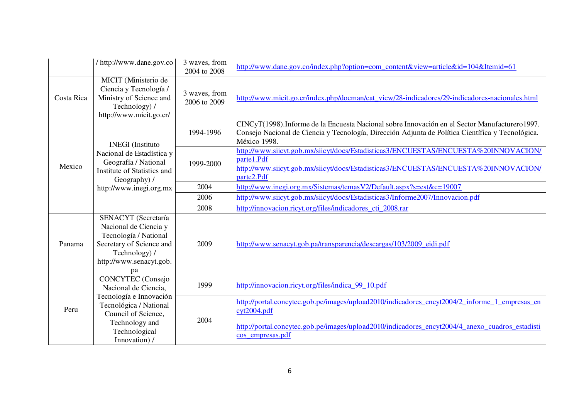|            | / http://www.dane.gov.co                                                                                                                                   | 3 waves, from<br>2004 to 2008 | http://www.dane.gov.co/index.php?option=com_content&view=article&id=104&Itemid=61                                                                                                                                    |
|------------|------------------------------------------------------------------------------------------------------------------------------------------------------------|-------------------------------|----------------------------------------------------------------------------------------------------------------------------------------------------------------------------------------------------------------------|
| Costa Rica | MICIT (Ministerio de<br>Ciencia y Tecnología /<br>Ministry of Science and<br>Technology) /<br>http://www.micit.go.cr/                                      | 3 waves, from<br>2006 to 2009 | http://www.micit.go.cr/index.php/docman/cat_view/28-indicadores/29-indicadores-nacionales.html                                                                                                                       |
| Mexico     | <b>INEGI</b> (Instituto<br>Nacional de Estadística y<br>Geografía / National<br>Institute of Statistics and<br>Geography) /<br>http://www.inegi.org.mx     | 1994-1996                     | CINCyT(1998). Informe de la Encuesta Nacional sobre Innovación en el Sector Manufacturero 1997.<br>Consejo Nacional de Ciencia y Tecnología, Dirección Adjunta de Política Científica y Tecnológica.<br>México 1998. |
|            |                                                                                                                                                            | 1999-2000                     | http://www.siicyt.gob.mx/siicyt/docs/Estadisticas3/ENCUESTAS/ENCUESTA%20INNOVACION/<br>parte1.Pdf<br>http://www.siicyt.gob.mx/siicyt/docs/Estadisticas3/ENCUESTAS/ENCUESTA%20INNOVACION/<br>parte2.Pdf               |
|            |                                                                                                                                                            | 2004                          | http://www.inegi.org.mx/Sistemas/temasV2/Default.aspx?s=est&c=19007                                                                                                                                                  |
|            |                                                                                                                                                            | 2006                          | http://www.siicyt.gob.mx/siicyt/docs/Estadisticas3/Informe2007/Innovacion.pdf                                                                                                                                        |
|            |                                                                                                                                                            | 2008                          | http://innovacion.ricyt.org/files/indicadores cti 2008.rar                                                                                                                                                           |
| Panama     | <b>SENACYT</b> (Secretaría<br>Nacional de Ciencia y<br>Tecnología / National<br>Secretary of Science and<br>Technology) /<br>http://www.senacyt.gob.<br>pa | 2009                          | http://www.senacyt.gob.pa/transparencia/descargas/103/2009_eidi.pdf                                                                                                                                                  |
| Peru       | <b>CONCYTEC</b> (Consejo<br>Nacional de Ciencia,                                                                                                           | 1999                          | http://innovacion.ricyt.org/files/indica_99_10.pdf                                                                                                                                                                   |
|            | Tecnología e Innovación<br>Tecnológica / National<br>Council of Science,                                                                                   |                               | http://portal.concytec.gob.pe/images/upload2010/indicadores_encyt2004/2_informe_1_empresas_en<br>cyt2004.pdf                                                                                                         |
|            | Technology and<br>Technological<br>Innovation) /                                                                                                           | 2004                          | http://portal.concytec.gob.pe/images/upload2010/indicadores_encyt2004/4_anexo_cuadros_estadisti<br>cos_empresas.pdf                                                                                                  |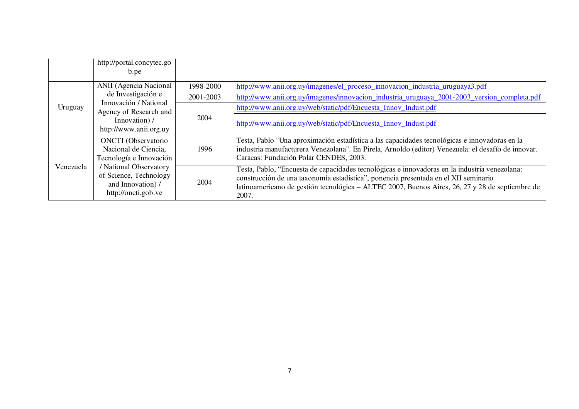|           | http://portal.concytec.go<br>b.pe                                                                                                                                             |           |                                                                                                                                                                                                                                                                                                  |
|-----------|-------------------------------------------------------------------------------------------------------------------------------------------------------------------------------|-----------|--------------------------------------------------------------------------------------------------------------------------------------------------------------------------------------------------------------------------------------------------------------------------------------------------|
| Uruguay   | <b>ANII</b> (Agencia Nacional<br>de Investigación e<br>Innovación / National<br>Agency of Research and<br>Innovation) /<br>http://www.anii.org.uy                             | 1998-2000 | http://www.anii.org.uy/imagenes/el_proceso_innovacion_industria_uruguaya3.pdf                                                                                                                                                                                                                    |
|           |                                                                                                                                                                               | 2001-2003 | http://www.anii.org.uy/imagenes/innovacion_industria_uruguaya_2001-2003_version_completa.pdf                                                                                                                                                                                                     |
|           |                                                                                                                                                                               | 2004      | http://www.anii.org.uy/web/static/pdf/Encuesta_Innov_Indust.pdf                                                                                                                                                                                                                                  |
|           |                                                                                                                                                                               |           | http://www.anii.org.uy/web/static/pdf/Encuesta_Innov_Indust.pdf                                                                                                                                                                                                                                  |
| Venezuela | <b>ONCTI</b> (Observatorio<br>Nacional de Ciencia,<br>Tecnología e Innovación<br>/ National Observatory<br>of Science, Technology<br>and Innovation) /<br>http://oncti.gob.ve | 1996      | Testa, Pablo "Una aproximación estadística a las capacidades tecnológicas e innovadoras en la<br>industria manufacturera Venezolana". En Pirela, Arnoldo (editor) Venezuela: el desafío de innovar.<br>Caracas: Fundación Polar CENDES, 2003.                                                    |
|           |                                                                                                                                                                               | 2004      | Testa, Pablo, "Encuesta de capacidades tecnológicas e innovadoras en la industria venezolana:<br>construcción de una taxonomía estadística", ponencia presentada en el XII seminario<br>latinoamericano de gestión tecnológica – ALTEC 2007, Buenos Aires, 26, 27 y 28 de septiembre de<br>2007. |